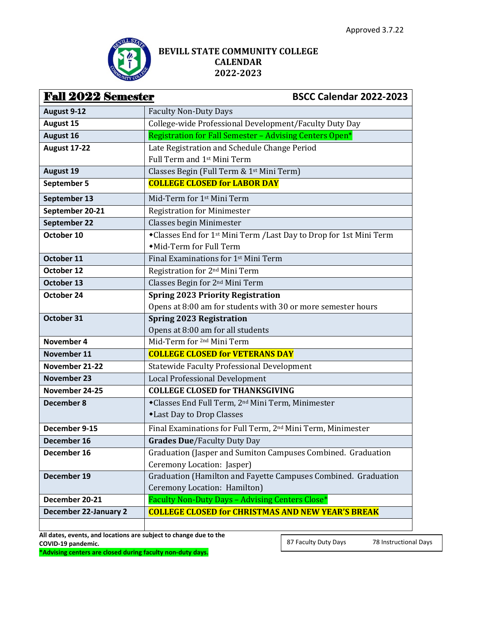

## **BEVILL STATE COMMUNITY COLLEGE CALENDAR 2022-2023**

| <b>Fall 2022 Semester</b><br><b>BSCC Calendar 2022-2023</b> |                                                                         |
|-------------------------------------------------------------|-------------------------------------------------------------------------|
| August 9-12                                                 | <b>Faculty Non-Duty Days</b>                                            |
| <b>August 15</b>                                            | College-wide Professional Development/Faculty Duty Day                  |
| August 16                                                   | Registration for Fall Semester - Advising Centers Open*                 |
| <b>August 17-22</b>                                         | Late Registration and Schedule Change Period                            |
|                                                             | Full Term and 1 <sup>st</sup> Mini Term                                 |
| <b>August 19</b>                                            | Classes Begin (Full Term & 1st Mini Term)                               |
| September 5                                                 | <b>COLLEGE CLOSED for LABOR DAY</b>                                     |
| September 13                                                | Mid-Term for 1st Mini Term                                              |
| September 20-21                                             | <b>Registration for Minimester</b>                                      |
| September 22                                                | Classes begin Minimester                                                |
| October 10                                                  | *Classes End for 1st Mini Term /Last Day to Drop for 1st Mini Term      |
|                                                             | • Mid-Term for Full Term                                                |
| October 11                                                  | Final Examinations for 1 <sup>st</sup> Mini Term                        |
| October 12                                                  | Registration for 2 <sup>nd</sup> Mini Term                              |
| October 13                                                  | Classes Begin for 2 <sup>nd</sup> Mini Term                             |
| October 24                                                  | <b>Spring 2023 Priority Registration</b>                                |
|                                                             | Opens at 8:00 am for students with 30 or more semester hours            |
| October 31                                                  | <b>Spring 2023 Registration</b>                                         |
|                                                             | Opens at 8:00 am for all students                                       |
| November 4                                                  | Mid-Term for <sup>2nd</sup> Mini Term                                   |
| November 11                                                 | <b>COLLEGE CLOSED for VETERANS DAY</b>                                  |
| November 21-22                                              | <b>Statewide Faculty Professional Development</b>                       |
| <b>November 23</b>                                          | <b>Local Professional Development</b>                                   |
| November 24-25                                              | <b>COLLEGE CLOSED for THANKSGIVING</b>                                  |
| December 8                                                  | *Classes End Full Term, 2 <sup>nd</sup> Mini Term, Minimester           |
|                                                             | *Last Day to Drop Classes                                               |
| December 9-15                                               | Final Examinations for Full Term, 2 <sup>nd</sup> Mini Term, Minimester |
| December 16                                                 | <b>Grades Due/Faculty Duty Day</b>                                      |
| December 16                                                 | Graduation (Jasper and Sumiton Campuses Combined. Graduation            |
|                                                             | Ceremony Location: Jasper)                                              |
| December 19                                                 | Graduation (Hamilton and Fayette Campuses Combined. Graduation          |
|                                                             | Ceremony Location: Hamilton)                                            |
| December 20-21                                              | Faculty Non-Duty Days - Advising Centers Close*                         |
| <b>December 22-January 2</b>                                | <b>COLLEGE CLOSED for CHRISTMAS AND NEW YEAR'S BREAK</b>                |

**All dates, events, and locations are subject to change due to the COVID-19 pandemic.**

 $\mathbf{I}$ 

**\*Advising centers are closed during faculty non-duty days.**

87 Faculty Duty Days 78 Instructional Days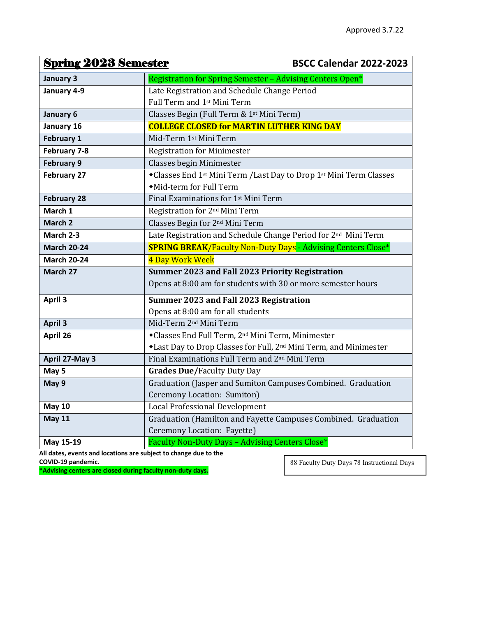## **Spring 2023 Semester BSCC Calendar 2022-2023**

| January 3          | Registration for Spring Semester - Advising Centers Open*                                  |
|--------------------|--------------------------------------------------------------------------------------------|
| January 4-9        | Late Registration and Schedule Change Period                                               |
|                    | Full Term and 1 <sup>st</sup> Mini Term                                                    |
| January 6          | Classes Begin (Full Term & 1st Mini Term)                                                  |
| January 16         | <b>COLLEGE CLOSED for MARTIN LUTHER KING DAY</b>                                           |
| February 1         | Mid-Term 1st Mini Term                                                                     |
| February 7-8       | <b>Registration for Minimester</b>                                                         |
| <b>February 9</b>  | <b>Classes begin Minimester</b>                                                            |
| February 27        | *Classes End 1 <sup>st</sup> Mini Term /Last Day to Drop 1 <sup>st</sup> Mini Term Classes |
|                    | • Mid-term for Full Term                                                                   |
| <b>February 28</b> | Final Examinations for 1 <sup>st</sup> Mini Term                                           |
| March 1            | Registration for 2 <sup>nd</sup> Mini Term                                                 |
| March 2            | Classes Begin for 2 <sup>nd</sup> Mini Term                                                |
| March 2-3          | Late Registration and Schedule Change Period for 2 <sup>nd</sup> Mini Term                 |
| <b>March 20-24</b> | <b>SPRING BREAK/Faculty Non-Duty Days - Advising Centers Close*</b>                        |
| <b>March 20-24</b> | 4 Day Work Week                                                                            |
| March 27           | Summer 2023 and Fall 2023 Priority Registration                                            |
|                    | Opens at 8:00 am for students with 30 or more semester hours                               |
| April 3            | Summer 2023 and Fall 2023 Registration                                                     |
|                    | Opens at 8:00 am for all students                                                          |
| <b>April 3</b>     | Mid-Term 2 <sup>nd</sup> Mini Term                                                         |
| April 26           | *Classes End Full Term, 2 <sup>nd</sup> Mini Term, Minimester                              |
|                    | *Last Day to Drop Classes for Full, 2 <sup>nd</sup> Mini Term, and Minimester              |
| April 27-May 3     | Final Examinations Full Term and 2 <sup>nd</sup> Mini Term                                 |
| May 5              | <b>Grades Due/Faculty Duty Day</b>                                                         |
| May 9              | Graduation (Jasper and Sumiton Campuses Combined. Graduation                               |
|                    | Ceremony Location: Sumiton)                                                                |
| <b>May 10</b>      | <b>Local Professional Development</b>                                                      |
| <b>May 11</b>      | Graduation (Hamilton and Fayette Campuses Combined. Graduation                             |
|                    | Ceremony Location: Fayette)                                                                |
| May 15-19          | Faculty Non-Duty Days - Advising Centers Close*                                            |

**All dates, events and locations are subject to change due to the COVID-19 pandemic.**

**\*Advising centers are closed during faculty non-duty days.**

88 Faculty Duty Days 78 Instructional Days